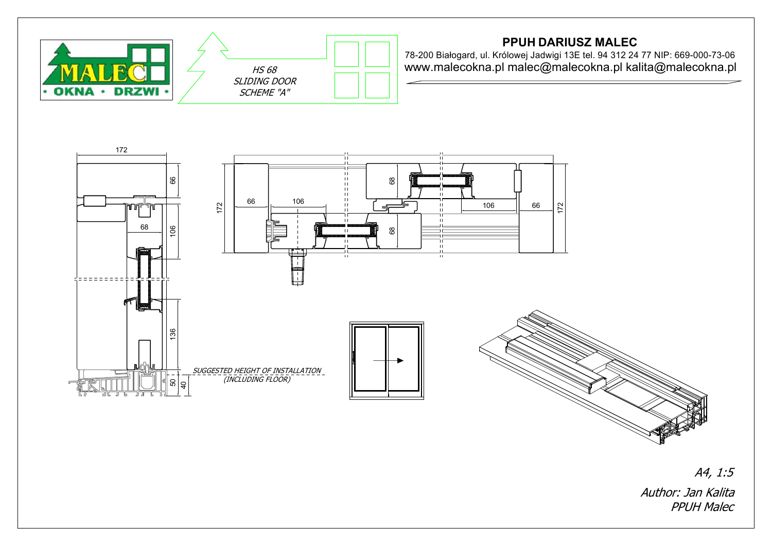

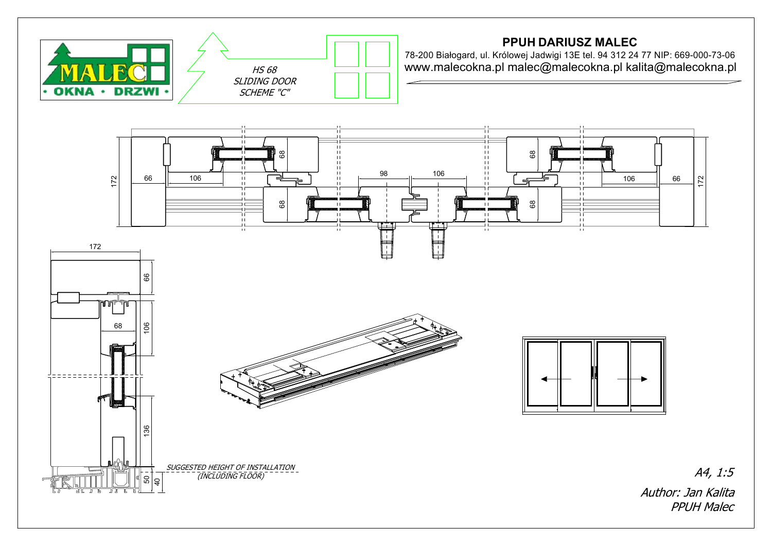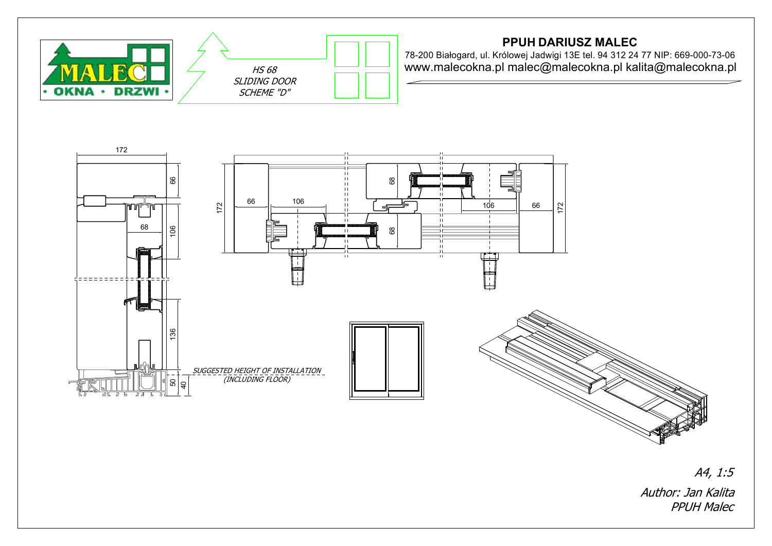